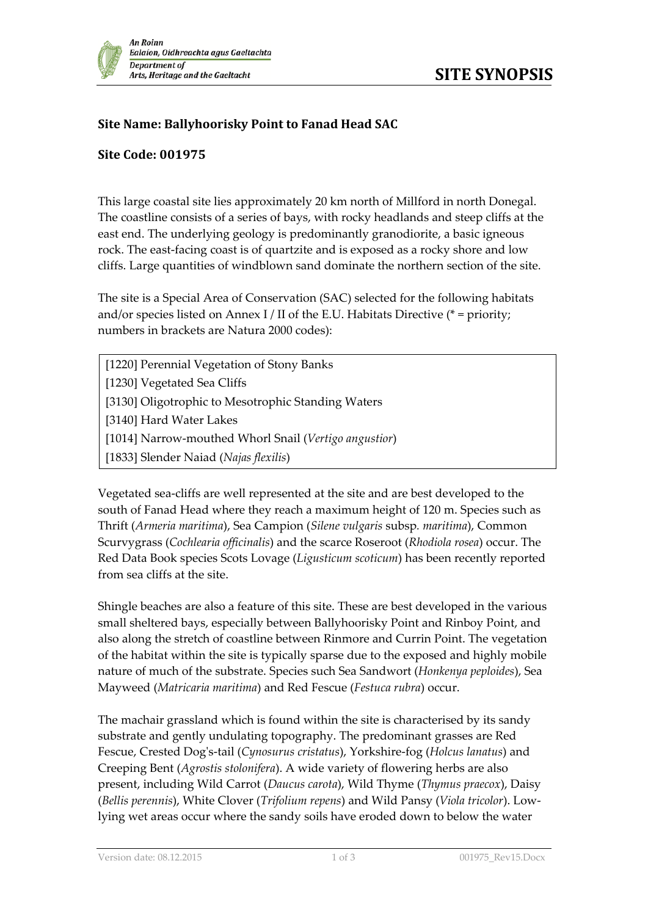## **Site Name: Ballyhoorisky Point to Fanad Head SAC**

## **Site Code: 001975**

This large coastal site lies approximately 20 km north of Millford in north Donegal. The coastline consists of a series of bays, with rocky headlands and steep cliffs at the east end. The underlying geology is predominantly granodiorite, a basic igneous rock. The east-facing coast is of quartzite and is exposed as a rocky shore and low cliffs. Large quantities of windblown sand dominate the northern section of the site.

The site is a Special Area of Conservation (SAC) selected for the following habitats and/or species listed on Annex I / II of the E.U. Habitats Directive (\* = priority; numbers in brackets are Natura 2000 codes):

[1220] Perennial Vegetation of Stony Banks [1230] Vegetated Sea Cliffs [3130] Oligotrophic to Mesotrophic Standing Waters [3140] Hard Water Lakes [1014] Narrow-mouthed Whorl Snail (*Vertigo angustior*) [1833] Slender Naiad (*Najas flexilis*)

Vegetated sea-cliffs are well represented at the site and are best developed to the south of Fanad Head where they reach a maximum height of 120 m. Species such as Thrift (*Armeria maritima*), Sea Campion (*Silene vulgaris* subsp*. maritima*), Common Scurvygrass (*Cochlearia officinalis*) and the scarce Roseroot (*Rhodiola rosea*) occur. The Red Data Book species Scots Lovage (*Ligusticum scoticum*) has been recently reported from sea cliffs at the site.

Shingle beaches are also a feature of this site. These are best developed in the various small sheltered bays, especially between Ballyhoorisky Point and Rinboy Point, and also along the stretch of coastline between Rinmore and Currin Point. The vegetation of the habitat within the site is typically sparse due to the exposed and highly mobile nature of much of the substrate. Species such Sea Sandwort (*Honkenya peploides*), Sea Mayweed (*Matricaria maritima*) and Red Fescue (*Festuca rubra*) occur.

The machair grassland which is found within the site is characterised by its sandy substrate and gently undulating topography. The predominant grasses are Red Fescue, Crested Dog's-tail (*Cynosurus cristatus*), Yorkshire-fog (*Holcus lanatus*) and Creeping Bent (*Agrostis stolonifera*). A wide variety of flowering herbs are also present, including Wild Carrot (*Daucus carota*), Wild Thyme (*Thymus praecox*), Daisy (*Bellis perennis*), White Clover (*Trifolium repens*) and Wild Pansy (*Viola tricolor*). Lowlying wet areas occur where the sandy soils have eroded down to below the water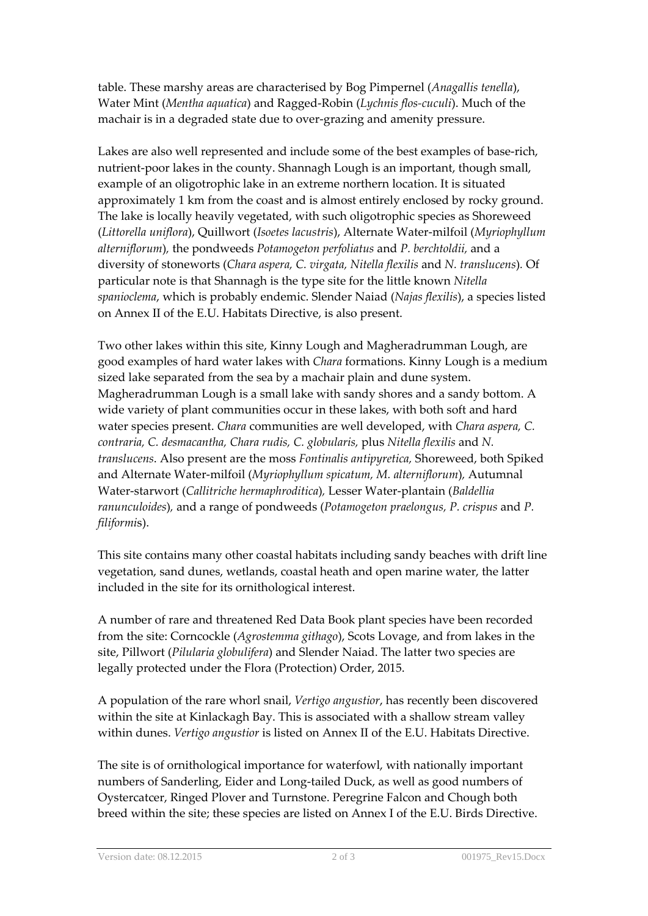table. These marshy areas are characterised by Bog Pimpernel (*Anagallis tenella*), Water Mint (*Mentha aquatica*) and Ragged-Robin (*Lychnis flos-cuculi*). Much of the machair is in a degraded state due to over-grazing and amenity pressure.

Lakes are also well represented and include some of the best examples of base-rich, nutrient-poor lakes in the county. Shannagh Lough is an important, though small, example of an oligotrophic lake in an extreme northern location. It is situated approximately 1 km from the coast and is almost entirely enclosed by rocky ground. The lake is locally heavily vegetated, with such oligotrophic species as Shoreweed (*Littorella uniflora*), Quillwort (*Isoetes lacustris*), Alternate Water-milfoil (*Myriophyllum alterniflorum*)*,* the pondweeds *Potamogeton perfoliatus* and *P. berchtoldii,* and a diversity of stoneworts (*Chara aspera, C. virgata, Nitella flexilis* and *N. translucens*)*.* Of particular note is that Shannagh is the type site for the little known *Nitella spanioclema*, which is probably endemic. Slender Naiad (*Najas flexilis*), a species listed on Annex II of the E.U. Habitats Directive, is also present.

Two other lakes within this site, Kinny Lough and Magheradrumman Lough, are good examples of hard water lakes with *Chara* formations. Kinny Lough is a medium sized lake separated from the sea by a machair plain and dune system. Magheradrumman Lough is a small lake with sandy shores and a sandy bottom. A wide variety of plant communities occur in these lakes, with both soft and hard water species present. *Chara* communities are well developed, with *Chara aspera, C. contraria, C. desmacantha, Chara rudis, C. globularis,* plus *Nitella flexilis* and *N. translucens*. Also present are the moss *Fontinalis antipyretica,* Shoreweed, both Spiked and Alternate Water-milfoil (*Myriophyllum spicatum, M. alterniflorum*)*,* Autumnal Water-starwort (*Callitriche hermaphroditica*)*,* Lesser Water-plantain (*Baldellia ranunculoides*)*,* and a range of pondweeds (*Potamogeton praelongus, P. crispus* and *P. filiformi*s).

This site contains many other coastal habitats including sandy beaches with drift line vegetation, sand dunes, wetlands, coastal heath and open marine water, the latter included in the site for its ornithological interest.

A number of rare and threatened Red Data Book plant species have been recorded from the site: Corncockle (*Agrostemma githago*), Scots Lovage, and from lakes in the site, Pillwort (*Pilularia globulifera*) and Slender Naiad. The latter two species are legally protected under the Flora (Protection) Order, 2015.

A population of the rare whorl snail, *Vertigo angustior*, has recently been discovered within the site at Kinlackagh Bay. This is associated with a shallow stream valley within dunes. *Vertigo angustior* is listed on Annex II of the E.U. Habitats Directive.

The site is of ornithological importance for waterfowl, with nationally important numbers of Sanderling, Eider and Long-tailed Duck, as well as good numbers of Oystercatcer, Ringed Plover and Turnstone. Peregrine Falcon and Chough both breed within the site; these species are listed on Annex I of the E.U. Birds Directive.